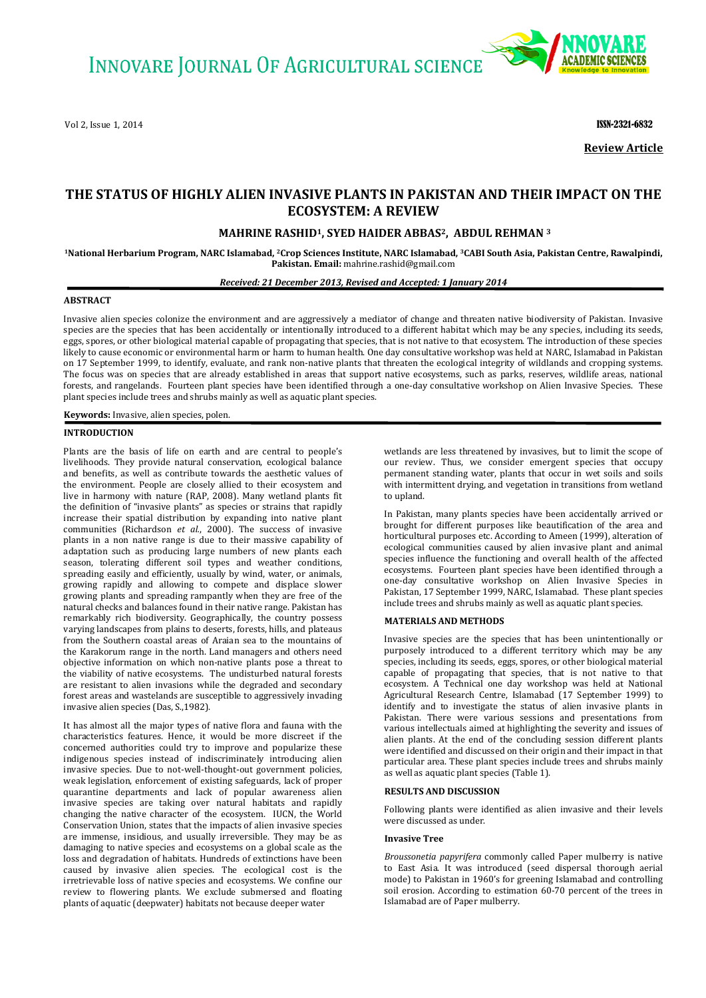Vol 2, Issue 1, 2014 **ISSN-2321-6832** 



**Review Article**

# **THE STATUS OF HIGHLY ALIEN INVASIVE PLANTS IN PAKISTAN AND THEIR IMPACT ON THE ECOSYSTEM: A REVIEW**

## **MAHRINE RASHID1, SYED HAIDER ABBAS2, ABDUL REHMAN <sup>3</sup>**

**<sup>1</sup>National Herbarium Program, NARC Islamabad, 2Crop Sciences Institute, NARC Islamabad, 3CABI South Asia, Pakistan Centre, Rawalpindi, Pakistan. Email:** mahrine.rashid@gmail.com

*Received: 21 December 2013, Revised and Accepted: 1 January 2014*

## **ABSTRACT**

Invasive alien species colonize the environment and are aggressively a mediator of change and threaten native biodiversity of Pakistan. Invasive species are the species that has been accidentally or intentionally introduced to a different habitat which may be any species, including its seeds, eggs, spores, or other biological material capable of propagating that species, that is not native to that ecosystem. The introduction of these species likely to cause economic or environmental harm or harm to human health. One day consultative workshop was held at NARC, Islamabad in Pakistan on 17 September 1999, to identify, evaluate, and rank non-native plants that threaten the ecological integrity of wildlands and cropping systems. The focus was on species that are already established in areas that support native ecosystems, such as parks, reserves, wildlife areas, national forests, and rangelands. Fourteen plant species have been identified through a one-day consultative workshop on Alien Invasive Species. These plant species include trees and shrubs mainly as well as aquatic plant species.

**Keywords:** Invasive, alien species, polen.

## **INTRODUCTION**

Plants are the basis of life on earth and are central to people's livelihoods. They provide natural conservation, ecological balance and benefits, as well as contribute towards the aesthetic values of the environment. People are closely allied to their ecosystem and live in harmony with nature (RAP, 2008). Many wetland plants fit the definition of "invasive plants" as species or strains that rapidly increase their spatial distribution by expanding into native plant communities (Richardson *et al.*, 2000). The success of invasive plants in a non native range is due to their massive capability of adaptation such as producing large numbers of new plants each season, tolerating different soil types and weather conditions, spreading easily and efficiently, usually by wind, water, or animals, growing rapidly and allowing to compete and displace slower growing plants and spreading rampantly when they are free of the natural checks and balances found in their native range. Pakistan has remarkably rich biodiversity. Geographically, the country possess varying landscapes from plains to deserts, forests, hills, and plateaus from the Southern coastal areas of Araian sea to the mountains of the Karakorum range in the north. Land managers and others need objective information on which non-native plants pose a threat to the viability of native ecosystems. The undisturbed natural forests are resistant to alien invasions while the degraded and secondary forest areas and wastelands are susceptible to aggressively invading invasive alien species (Das, S.,1982).

It has almost all the major types of native flora and fauna with the characteristics features. Hence, it would be more discreet if the concerned authorities could try to improve and popularize these indigenous species instead of indiscriminately introducing alien invasive species. Due to not-well-thought-out government policies, weak legislation, enforcement of existing safeguards, lack of proper quarantine departments and lack of popular awareness alien invasive species are taking over natural habitats and rapidly changing the native character of the ecosystem. IUCN, the World Conservation Union, states that the impacts of alien invasive species are immense, insidious, and usually irreversible. They may be as damaging to native species and ecosystems on a global scale as the loss and degradation of habitats. Hundreds of extinctions have been caused by invasive alien species. The ecological cost is the irretrievable loss of native species and ecosystems. We confine our review to flowering plants. We exclude submersed and floating plants of aquatic (deepwater) habitats not because deeper water

wetlands are less threatened by invasives, but to limit the scope of our review. Thus, we consider emergent species that occupy permanent standing water, plants that occur in wet soils and soils with intermittent drying, and vegetation in transitions from wetland to upland.

In Pakistan, many plants species have been accidentally arrived or brought for different purposes like beautification of the area and horticultural purposes etc. According to Ameen (1999), alteration of ecological communities caused by alien invasive plant and animal species influence the functioning and overall health of the affected ecosystems. Fourteen plant species have been identified through a one-day consultative workshop on Alien Invasive Species in Pakistan, 17 September 1999, NARC, Islamabad. These plant species include trees and shrubs mainly as well as aquatic plant species.

### **MATERIALS AND METHODS**

Invasive species are the species that has been unintentionally or purposely introduced to a different territory which may be any species, including its seeds, eggs, spores, or other biological material capable of propagating that species, that is not native to that ecosystem. A Technical one day workshop was held at National Agricultural Research Centre, Islamabad (17 September 1999) to identify and to investigate the status of alien invasive plants in Pakistan. There were various sessions and presentations from various intellectuals aimed at highlighting the severity and issues of alien plants. At the end of the concluding session different plants were identified and discussed on their origin and their impact in that particular area. These plant species include trees and shrubs mainly as well as aquatic plant species (Table 1).

#### **RESULTS AND DISCUSSION**

Following plants were identified as alien invasive and their levels were discussed as under.

### **Invasive Tree**

*Broussonetia papyrifera* commonly called Paper mulberry is native to East Asia. It was introduced (seed dispersal thorough aerial mode) to Pakistan in 1960's for greening Islamabad and controlling soil erosion. According to estimation 60-70 percent of the trees in Islamabad are of Paper mulberry.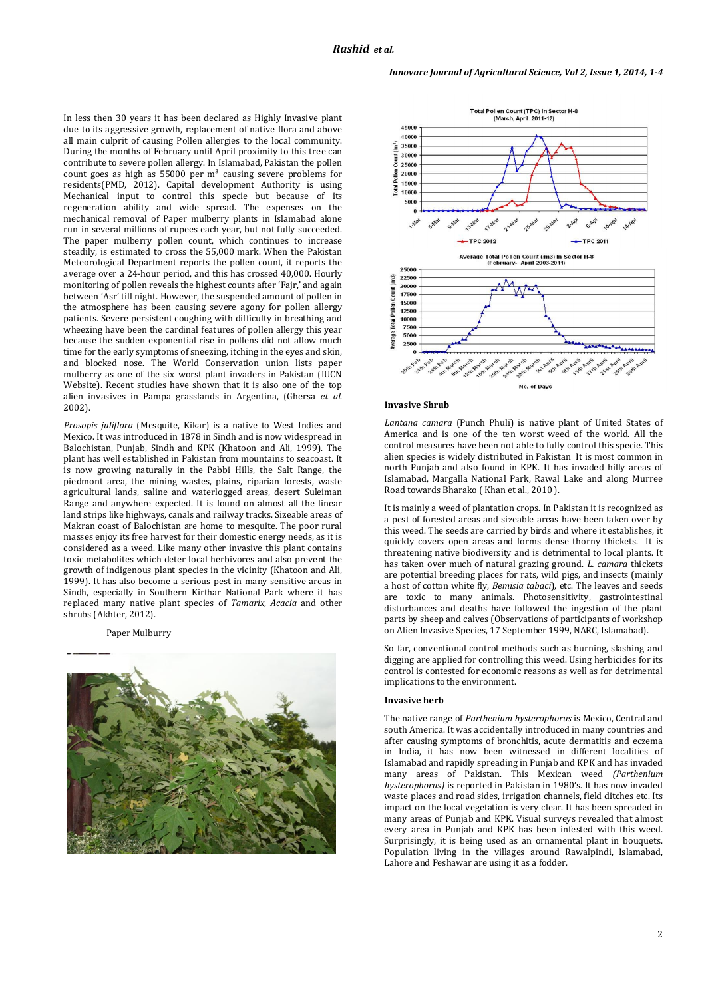In less then 30 years it has been declared as Highly Invasive plant due to its aggressive growth, replacement of native flora and above all main culprit of causing Pollen allergies to the local community. During the months of February until April proximity to this tree can contribute to severe pollen allergy. In Islamabad, Pakistan the pollen count goes as high as  $55000$  per m<sup>3</sup> causing severe problems for residents(PMD, 2012). Capital development Authority is using Mechanical input to control this specie but because of its regeneration ability and wide spread. The expenses on the mechanical removal of Paper mulberry plants in Islamabad alone run in several millions of rupees each year, but not fully succeeded. The paper mulberry pollen count, which continues to increase steadily, is estimated to cross the 55,000 mark. When the Pakistan Meteorological Department reports the pollen count, it reports the average over a 24-hour period, and this has crossed 40,000. Hourly monitoring of pollen reveals the highest counts after 'Fajr,' and again between 'Asr' till night. However, the suspended amount of pollen in the atmosphere has been causing severe agony for pollen allergy patients. Severe persistent coughing with difficulty in breathing and wheezing have been the cardinal features of pollen allergy this year because the sudden exponential rise in pollens did not allow much time for the early symptoms of sneezing, itching in the eyes and skin, and blocked nose. The World Conservation union lists paper mulberry as one of the six worst plant invaders in Pakistan (IUCN Website). Recent studies have shown that it is also one of the top alien invasives in Pampa grasslands in Argentina, (Ghersa *et al*. 2002).

*Prosopis juliflora* (Mesquite, Kikar) is a native to West Indies and Mexico. It was introduced in 1878 in Sindh and is now widespread in Balochistan, Punjab, Sindh and KPK (Khatoon and Ali, 1999). The plant has well established in Pakistan from mountains to seacoast. It is now growing naturally in the Pabbi Hills, the Salt Range, the piedmont area, the mining wastes, plains, riparian forests, waste agricultural lands, saline and waterlogged areas, desert Suleiman Range and anywhere expected. It is found on almost all the linear land strips like highways, canals and railway tracks. Sizeable areas of Makran coast of Balochistan are home to mesquite. The poor rural masses enjoy its free harvest for their domestic energy needs, as it is considered as a weed. Like many other invasive this plant contains toxic metabolites which deter local herbivores and also prevent the growth of indigenous plant species in the vicinity (Khatoon and Ali, 1999). It has also become a serious pest in many sensitive areas in Sindh, especially in Southern Kirthar National Park where it has replaced many native plant species of *Tamarix, Acacia* and other shrubs (Akhter, 2012).

Paper Mulburry







*Lantana camara* (Punch Phuli) is native plant of United States of America and is one of the ten worst weed of the world. All the control measures have been not able to fully control this specie. This alien species is widely distributed in Pakistan It is most common in north Punjab and also found in KPK. It has invaded hilly areas of Islamabad, Margalla National Park, Rawal Lake and along Murree Road towards Bharako ( Khan et al., 2010 ).

It is mainly a weed of plantation crops. In Pakistan it is recognized as a pest of forested areas and sizeable areas have been taken over by this weed. The seeds are carried by birds and where it establishes, it quickly covers open areas and forms dense thorny thickets. It is threatening native biodiversity and is detrimental to local plants. It has taken over much of natural grazing ground. *L. camara* thickets are potential breeding places for rats, wild pigs, and insects (mainly a host of cotton white fly, *Bemisia tabaci*), etc. The leaves and seeds are toxic to many animals. Photosensitivity, gastrointestinal disturbances and deaths have followed the ingestion of the plant parts by sheep and calves (Observations of participants of workshop on Alien Invasive Species, 17 September 1999, NARC, Islamabad).

So far, conventional control methods such as burning, slashing and digging are applied for controlling this weed. Using herbicides for its control is contested for economic reasons as well as for detrimental implications to the environment.

#### **Invasive herb**

The native range of *Parthenium hysterophorus* is Mexico, Central and south America. It was accidentally introduced in many countries and after causing symptoms of bronchitis, acute dermatitis and eczema in India, it has now been witnessed in different localities of Islamabad and rapidly spreading in Punjab and KPK and has invaded many areas of Pakistan. This Mexican weed *(Parthenium hysterophorus)* is reported in Pakistan in 1980's. It has now invaded waste places and road sides, irrigation channels, field ditches etc. Its impact on the local vegetation is very clear. It has been spreaded in many areas of Punjab and KPK. Visual surveys revealed that almost every area in Punjab and KPK has been infested with this weed. Surprisingly, it is being used as an ornamental plant in bouquets. Population living in the villages around Rawalpindi, Islamabad, Lahore and Peshawar are using it as a fodder.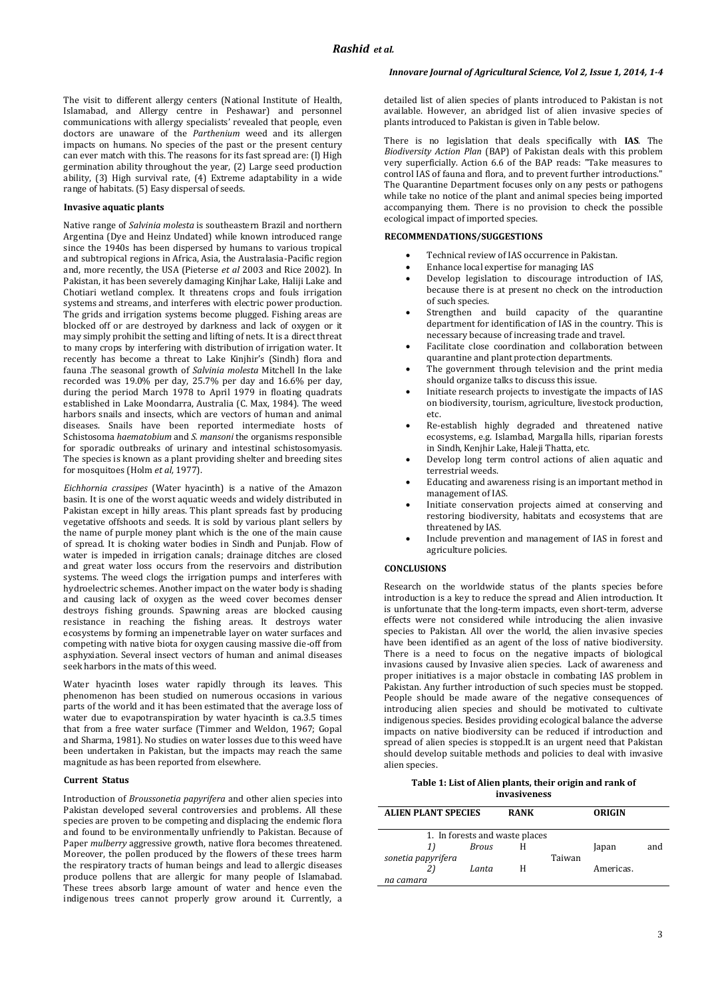The visit to different allergy centers (National Institute of Health, Islamabad, and Allergy centre in Peshawar) and personnel communications with allergy specialists' revealed that people, even doctors are unaware of the *Parthenium* weed and its allergen impacts on humans. No species of the past or the present century can ever match with this. The reasons for its fast spread are: (l) High germination ability throughout the year, (2) Large seed production ability, (3) High survival rate, (4) Extreme adaptability in a wide range of habitats. (5) Easy dispersal of seeds.

## **Invasive aquatic plants**

Native range of *Salvinia molesta* is southeastern Brazil and northern Argentina (Dye and Heinz Undated) while known introduced range since the 1940s has been dispersed by humans to various tropical and subtropical regions in Africa, Asia, the Australasia-Pacific region and, more recently, the USA (Pieterse *et al* 2003 and Rice 2002). In Pakistan, it has been severely damaging Kinjhar Lake, Haliji Lake and Chotiari wetland complex. It threatens crops and fouls irrigation systems and streams, and interferes with electric power production. The grids and irrigation systems become plugged. Fishing areas are blocked off or are destroyed by darkness and lack of oxygen or it may simply prohibit the setting and lifting of nets. It is a direct threat to many crops by interfering with distribution of irrigation water. It recently has become a threat to Lake Kinjhir's (Sindh) flora and fauna .The seasonal growth of *Salvinia molesta* Mitchell In the lake recorded was 19.0% per day, 25.7% per day and 16.6% per day, during the period March 1978 to April 1979 in floating quadrats established in Lake Moondarra, Australia (C. Max, 1984). The weed harbors snails and insects, which are vectors of human and animal diseases. Snails have been reported intermediate hosts of Schistosoma *haematobium* and *S. mansoni* the organisms responsible for sporadic outbreaks of urinary and intestinal schistosomyasis. The species is known as a plant providing shelter and breeding sites for mosquitoes (Holm *et al,* 1977).

*Eichhornia crassipes* (Water hyacinth) is a native of the Amazon basin. It is one of the worst aquatic weeds and widely distributed in Pakistan except in hilly areas. This plant spreads fast by producing vegetative offshoots and seeds. It is sold by various plant sellers by the name of purple money plant which is the one of the main cause of spread. It is choking water bodies in Sindh and Punjab. Flow of water is impeded in irrigation canals; drainage ditches are closed and great water loss occurs from the reservoirs and distribution systems. The weed clogs the irrigation pumps and interferes with hydroelectric schemes. Another impact on the water body is shading and causing lack of oxygen as the weed cover becomes denser destroys fishing grounds. Spawning areas are blocked causing resistance in reaching the fishing areas. It destroys water ecosystems by forming an impenetrable layer on water surfaces and competing with native biota for oxygen causing massive die-off from asphyxiation. Several insect vectors of human and animal diseases seek harbors in the mats of this weed.

Water hyacinth loses water rapidly through its leaves. This phenomenon has been studied on numerous occasions in various parts of the world and it has been estimated that the average loss of water due to evapotranspiration by water hyacinth is ca.3.5 times that from a free water surface (Timmer and Weldon, 1967; Gopal and Sharma, 1981). No studies on water losses due to this weed have been undertaken in Pakistan, but the impacts may reach the same magnitude as has been reported from elsewhere.

#### **Current Status**

Introduction of *Broussonetia papyrifera* and other alien species into Pakistan developed several controversies and problems. All these species are proven to be competing and displacing the endemic flora and found to be environmentally unfriendly to Pakistan. Because of Paper *mulberry* aggressive growth, native flora becomes threatened. Moreover, the pollen produced by the flowers of these trees harm the respiratory tracts of human beings and lead to allergic diseases produce pollens that are allergic for many people of Islamabad. These trees absorb large amount of water and hence even the indigenous trees cannot properly grow around it. Currently, a

## *Innovare Journal of Agricultural Science, Vol 2, Issue 1, 2014, 1-4*

detailed list of alien species of plants introduced to Pakistan is not available. However, an abridged list of alien invasive species of plants introduced to Pakistan is given in Table below.

There is no legislation that deals specifically with **IAS**. The *Biodiversity Action Plan* (BAP) of Pakistan deals with this problem very superficially. Action 6.6 of the BAP reads: "Take measures to control IAS of fauna and flora, and to prevent further introductions." The Quarantine Department focuses only on any pests or pathogens while take no notice of the plant and animal species being imported accompanying them. There is no provision to check the possible ecological impact of imported species.

## **RECOMMENDATIONS/SUGGESTIONS**

- Technical review of IAS occurrence in Pakistan.
- Enhance local expertise for managing IAS
- Develop legislation to discourage introduction of IAS, because there is at present no check on the introduction of such species.
- Strengthen and build capacity of the quarantine department for identification of IAS in the country. This is necessary because of increasing trade and travel.
- Facilitate close coordination and collaboration between quarantine and plant protection departments.
- The government through television and the print media should organize talks to discuss this issue.
- Initiate research projects to investigate the impacts of IAS on biodiversity, tourism, agriculture, livestock production, etc.
- Re-establish highly degraded and threatened native ecosystems, e.g. Islambad, Margalla hills, riparian forests in Sindh, Kenjhir Lake, Haleji Thatta, etc.
- Develop long term control actions of alien aquatic and terrestrial weeds.
- Educating and awareness rising is an important method in management of IAS.
- Initiate conservation projects aimed at conserving and restoring biodiversity, habitats and ecosystems that are threatened by IAS.
- Include prevention and management of IAS in forest and agriculture policies.

#### **CONCLUSIONS**

Research on the worldwide status of the plants species before introduction is a key to reduce the spread and Alien introduction. It is unfortunate that the long-term impacts, even short-term, adverse effects were not considered while introducing the alien invasive species to Pakistan. All over the world, the alien invasive species have been identified as an agent of the loss of native biodiversity. There is a need to focus on the negative impacts of biological invasions caused by Invasive alien species. Lack of awareness and proper initiatives is a major obstacle in combating IAS problem in Pakistan. Any further introduction of such species must be stopped. People should be made aware of the negative consequences of introducing alien species and should be motivated to cultivate indigenous species. Besides providing ecological balance the adverse impacts on native biodiversity can be reduced if introduction and spread of alien species is stopped.It is an urgent need that Pakistan should develop suitable methods and policies to deal with invasive alien species.

#### **Table 1: List of Alien plants, their origin and rank of invasiveness**

| <b>ALIEN PLANT SPECIES</b>     |              | <b>RANK</b> |        | ORIGIN    |     |  |  |
|--------------------------------|--------------|-------------|--------|-----------|-----|--|--|
| 1. In forests and waste places |              |             |        |           |     |  |  |
|                                | <b>Brous</b> | Н           |        | Japan     | and |  |  |
| sonetia papyrifera             |              |             | Taiwan |           |     |  |  |
|                                | Lanta        | н           |        | Americas. |     |  |  |
| na camara                      |              |             |        |           |     |  |  |